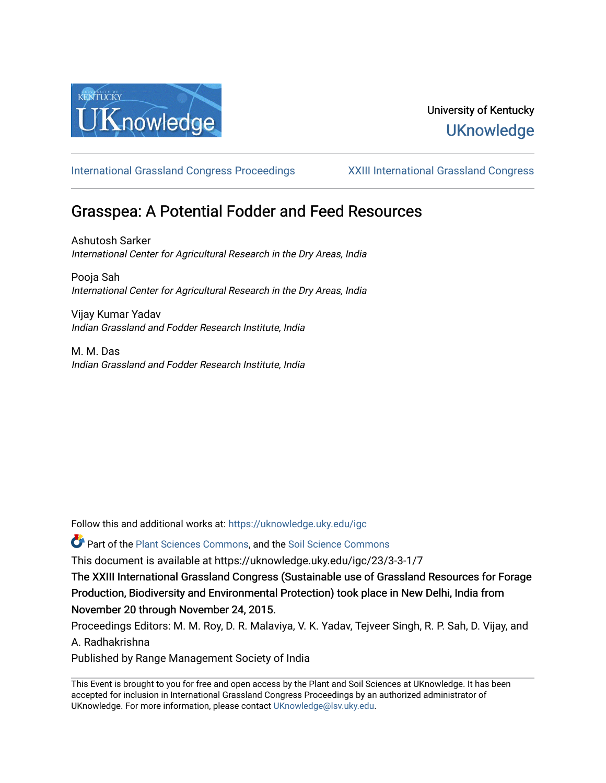

## University of Kentucky **UKnowledge**

[International Grassland Congress Proceedings](https://uknowledge.uky.edu/igc) [XXIII International Grassland Congress](https://uknowledge.uky.edu/igc/23) 

# Grasspea: A Potential Fodder and Feed Resources

Ashutosh Sarker International Center for Agricultural Research in the Dry Areas, India

Pooja Sah International Center for Agricultural Research in the Dry Areas, India

Vijay Kumar Yadav Indian Grassland and Fodder Research Institute, India

M. M. Das Indian Grassland and Fodder Research Institute, India

Follow this and additional works at: [https://uknowledge.uky.edu/igc](https://uknowledge.uky.edu/igc?utm_source=uknowledge.uky.edu%2Figc%2F23%2F3-3-1%2F7&utm_medium=PDF&utm_campaign=PDFCoverPages) 

Part of the [Plant Sciences Commons](http://network.bepress.com/hgg/discipline/102?utm_source=uknowledge.uky.edu%2Figc%2F23%2F3-3-1%2F7&utm_medium=PDF&utm_campaign=PDFCoverPages), and the [Soil Science Commons](http://network.bepress.com/hgg/discipline/163?utm_source=uknowledge.uky.edu%2Figc%2F23%2F3-3-1%2F7&utm_medium=PDF&utm_campaign=PDFCoverPages) 

This document is available at https://uknowledge.uky.edu/igc/23/3-3-1/7

The XXIII International Grassland Congress (Sustainable use of Grassland Resources for Forage Production, Biodiversity and Environmental Protection) took place in New Delhi, India from November 20 through November 24, 2015.

Proceedings Editors: M. M. Roy, D. R. Malaviya, V. K. Yadav, Tejveer Singh, R. P. Sah, D. Vijay, and A. Radhakrishna

Published by Range Management Society of India

This Event is brought to you for free and open access by the Plant and Soil Sciences at UKnowledge. It has been accepted for inclusion in International Grassland Congress Proceedings by an authorized administrator of UKnowledge. For more information, please contact [UKnowledge@lsv.uky.edu](mailto:UKnowledge@lsv.uky.edu).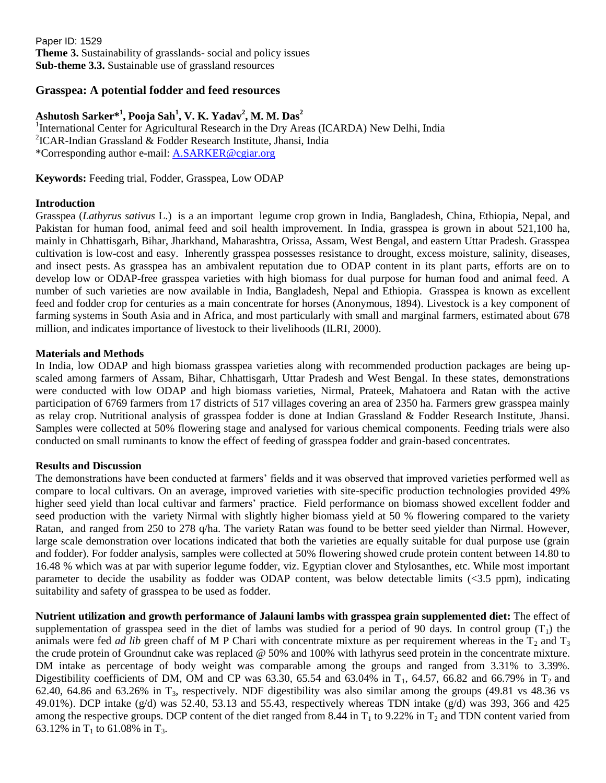Paper ID: 1529 **Theme 3.** Sustainability of grasslands- social and policy issues **Sub-theme 3.3.** Sustainable use of grassland resources

## **Grasspea: A potential fodder and feed resources**

### **Ashutosh Sarker\* 1 , Pooja Sah<sup>1</sup> , V. K. Yadav<sup>2</sup> , M. M. Das<sup>2</sup>**

<sup>1</sup>International Center for Agricultural Research in the Dry Areas (ICARDA) New Delhi, India 2 ICAR-Indian Grassland & Fodder Research Institute, Jhansi, India \*Corresponding author e-mail: [A.SARKER@cgiar.org](mailto:A.SARKER@cgiar.org)

**Keywords:** Feeding trial, Fodder, Grasspea, Low ODAP

#### **Introduction**

Grasspea (*Lathyrus sativus* L.) is a an important legume crop grown in India, Bangladesh, China, Ethiopia, Nepal, and Pakistan for human food, animal feed and soil health improvement. In India, grasspea is grown in about 521,100 ha, mainly in Chhattisgarh, Bihar, Jharkhand, Maharashtra, Orissa, Assam, West Bengal, and eastern Uttar Pradesh. Grasspea cultivation is low-cost and easy. Inherently grasspea possesses resistance to drought, excess moisture, salinity, diseases, and insect pests. As grasspea has an ambivalent reputation due to ODAP content in its plant parts, efforts are on to develop low or ODAP-free grasspea varieties with high biomass for dual purpose for human food and animal feed. A number of such varieties are now available in India, Bangladesh, Nepal and Ethiopia. Grasspea is known as excellent feed and fodder crop for centuries as a main concentrate for horses (Anonymous, 1894). Livestock is a key component of farming systems in South Asia and in Africa, and most particularly with small and marginal farmers, estimated about 678 million, and indicates importance of livestock to their livelihoods (ILRI, 2000).

#### **Materials and Methods**

In India, low ODAP and high biomass grasspea varieties along with recommended production packages are being upscaled among farmers of Assam, Bihar, Chhattisgarh, Uttar Pradesh and West Bengal. In these states, demonstrations were conducted with low ODAP and high biomass varieties, Nirmal, Prateek, Mahatoera and Ratan with the active participation of 6769 farmers from 17 districts of 517 villages covering an area of 2350 ha. Farmers grew grasspea mainly as relay crop. Nutritional analysis of grasspea fodder is done at Indian Grassland & Fodder Research Institute, Jhansi. Samples were collected at 50% flowering stage and analysed for various chemical components. Feeding trials were also conducted on small ruminants to know the effect of feeding of grasspea fodder and grain-based concentrates.

#### **Results and Discussion**

The demonstrations have been conducted at farmers' fields and it was observed that improved varieties performed well as compare to local cultivars. On an average, improved varieties with site-specific production technologies provided 49% higher seed yield than local cultivar and farmers' practice. Field performance on biomass showed excellent fodder and seed production with the variety Nirmal with slightly higher biomass yield at 50 % flowering compared to the variety Ratan, and ranged from 250 to 278 q/ha. The variety Ratan was found to be better seed yielder than Nirmal. However, large scale demonstration over locations indicated that both the varieties are equally suitable for dual purpose use (grain and fodder). For fodder analysis, samples were collected at 50% flowering showed crude protein content between 14.80 to 16.48 % which was at par with superior legume fodder, viz. Egyptian clover and Stylosanthes, etc. While most important parameter to decide the usability as fodder was ODAP content, was below detectable limits (<3.5 ppm), indicating suitability and safety of grasspea to be used as fodder.

**Nutrient utilization and growth performance of Jalauni lambs with grasspea grain supplemented diet:** The effect of supplementation of grasspea seed in the diet of lambs was studied for a period of 90 days. In control group  $(T_1)$  the animals were fed *ad lib* green chaff of M P Chari with concentrate mixture as per requirement whereas in the  $T_2$  and  $T_3$ the crude protein of Groundnut cake was replaced @ 50% and 100% with lathyrus seed protein in the concentrate mixture. DM intake as percentage of body weight was comparable among the groups and ranged from 3.31% to 3.39%. Digestibility coefficients of DM, OM and CP was 63.30, 65.54 and 63.04% in  $T_1$ , 64.57, 66.82 and 66.79% in  $T_2$  and 62.40, 64.86 and 63.26% in  $T_3$ , respectively. NDF digestibility was also similar among the groups (49.81 vs 48.36 vs 49.01%). DCP intake (g/d) was 52.40, 53.13 and 55.43, respectively whereas TDN intake (g/d) was 393, 366 and 425 among the respective groups. DCP content of the diet ranged from 8.44 in  $T_1$  to 9.22% in  $T_2$  and TDN content varied from 63.12% in  $T_1$  to 61.08% in  $T_3$ .